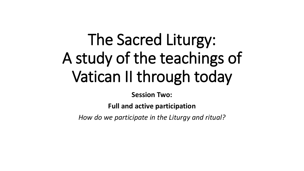# The Sacred Liturgy: A study of the teachings of Vatican II through today

**Session Two:**

**Full and active participation**

*How do we participate in the Liturgy and ritual?*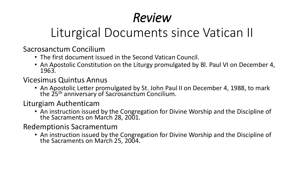# *Review*

# Liturgical Documents since Vatican II

Sacrosanctum Concilium

- The first document issued in the Second Vatican Council.
- An Apostolic Constitution on the Liturgy promulgated by Bl. Paul VI on December 4, 1963.

Vicesimus Quintus Annus

• An Apostolic Letter promulgated by St. John Paul II on December 4, 1988, to mark the 25<sup>th</sup> anniversary of Sacrosanctum Concilium.

Liturgiam Authenticam

• An instruction issued by the Congregation for Divine Worship and the Discipline of the Sacraments on March 28, 2001.

Redemptionis Sacramentum

• An instruction issued by the Congregation for Divine Worship and the Discipline of the Sacraments on March 25, 2004.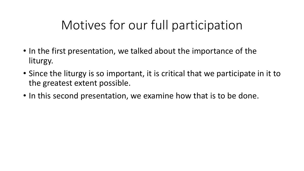### Motives for our full participation

- In the first presentation, we talked about the importance of the liturgy.
- Since the liturgy is so important, it is critical that we participate in it to the greatest extent possible.
- In this second presentation, we examine how that is to be done.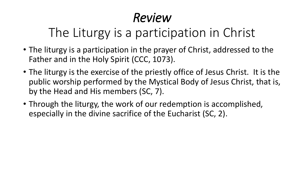# *Review*

# The Liturgy is a participation in Christ

- The liturgy is a participation in the prayer of Christ, addressed to the Father and in the Holy Spirit (CCC, 1073).
- The liturgy is the exercise of the priestly office of Jesus Christ. It is the public worship performed by the Mystical Body of Jesus Christ, that is, by the Head and His members (SC, 7).
- Through the liturgy, the work of our redemption is accomplished, especially in the divine sacrifice of the Eucharist (SC, 2).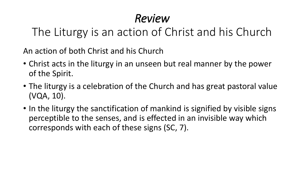### *Review*

The Liturgy is an action of Christ and his Church

An action of both Christ and his Church

- Christ acts in the liturgy in an unseen but real manner by the power of the Spirit.
- The liturgy is a celebration of the Church and has great pastoral value (VQA, 10).
- In the liturgy the sanctification of mankind is signified by visible signs perceptible to the senses, and is effected in an invisible way which corresponds with each of these signs (SC, 7).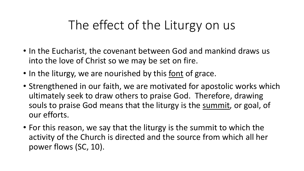### The effect of the Liturgy on us

- In the Eucharist, the covenant between God and mankind draws us into the love of Christ so we may be set on fire.
- In the liturgy, we are nourished by this font of grace.
- Strengthened in our faith, we are motivated for apostolic works which ultimately seek to draw others to praise God. Therefore, drawing souls to praise God means that the liturgy is the summit, or goal, of our efforts.
- For this reason, we say that the liturgy is the summit to which the activity of the Church is directed and the source from which all her power flows (SC, 10).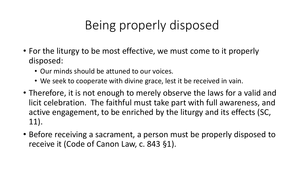# Being properly disposed

- For the liturgy to be most effective, we must come to it properly disposed:
	- Our minds should be attuned to our voices.
	- We seek to cooperate with divine grace, lest it be received in vain.
- Therefore, it is not enough to merely observe the laws for a valid and licit celebration. The faithful must take part with full awareness, and active engagement, to be enriched by the liturgy and its effects (SC, 11).
- Before receiving a sacrament, a person must be properly disposed to receive it (Code of Canon Law, c. 843 §1).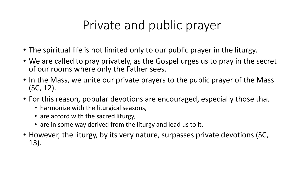### Private and public prayer

- The spiritual life is not limited only to our public prayer in the liturgy.
- We are called to pray privately, as the Gospel urges us to pray in the secret of our rooms where only the Father sees.
- In the Mass, we unite our private prayers to the public prayer of the Mass (SC, 12).
- For this reason, popular devotions are encouraged, especially those that
	- harmonize with the liturgical seasons,
	- are accord with the sacred liturgy,
	- are in some way derived from the liturgy and lead us to it.
- However, the liturgy, by its very nature, surpasses private devotions (SC, 13).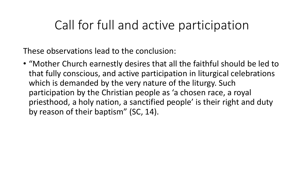#### Call for full and active participation

These observations lead to the conclusion:

• "Mother Church earnestly desires that all the faithful should be led to that fully conscious, and active participation in liturgical celebrations which is demanded by the very nature of the liturgy. Such participation by the Christian people as 'a chosen race, a royal priesthood, a holy nation, a sanctified people' is their right and duty by reason of their baptism" (SC, 14).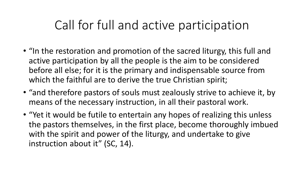#### Call for full and active participation

- "In the restoration and promotion of the sacred liturgy, this full and active participation by all the people is the aim to be considered before all else; for it is the primary and indispensable source from which the faithful are to derive the true Christian spirit;
- "and therefore pastors of souls must zealously strive to achieve it, by means of the necessary instruction, in all their pastoral work.
- "Yet it would be futile to entertain any hopes of realizing this unless the pastors themselves, in the first place, become thoroughly imbued with the spirit and power of the liturgy, and undertake to give instruction about it" (SC, 14).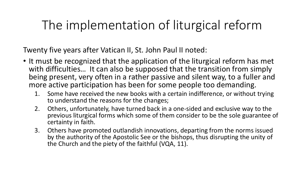### The implementation of liturgical reform

Twenty five years after Vatican II, St. John Paul II noted:

- It must be recognized that the application of the liturgical reform has met with difficulties... It can also be supposed that the transition from simply being present, very often in a rather passive and silent way, to a fuller and more active participation has been for some people too demanding.
	- 1. Some have received the new books with a certain indifference, or without trying to understand the reasons for the changes;
	- 2. Others, unfortunately, have turned back in a one-sided and exclusive way to the previous liturgical forms which some of them consider to be the sole guarantee of certainty in faith.
	- 3. Others have promoted outlandish innovations, departing from the norms issued by the authority of the Apostolic See or the bishops, thus disrupting the unity of the Church and the piety of the faithful (VQA, 11).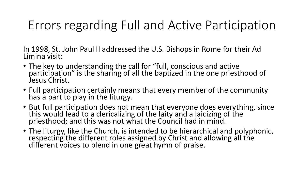### Errors regarding Full and Active Participation

In 1998, St. John Paul II addressed the U.S. Bishops in Rome for their Ad Limina visit:

- The key to understanding the call for "full, conscious and active participation" is the sharing of all the baptized in the one priesthood of Jesus Christ.
- Full participation certainly means that every member of the community has a part to play in the liturgy.
- But full participation does not mean that everyone does everything, since this would lead to a clericalizing of the laity and a laicizing of the priesthood; and this was not what the Council had in mind.
- The liturgy, like the Church, is intended to be hierarchical and polyphonic, respecting the different roles assigned by Christ and allowing all the different voices to blend in one great hymn of praise.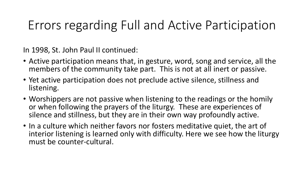### Errors regarding Full and Active Participation

In 1998, St. John Paul II continued:

- Active participation means that, in gesture, word, song and service, all the members of the community take part. This is not at all inert or passive.
- Yet active participation does not preclude active silence, stillness and listening.
- Worshippers are not passive when listening to the readings or the homily or when following the prayers of the liturgy. These are experiences of silence and stillness, but they are in their own way profoundly active.
- In a culture which neither favors nor fosters meditative quiet, the art of interior listening is learned only with difficulty. Here we see how the liturgy must be counter-cultural.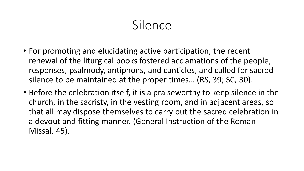### Silence

- For promoting and elucidating active participation, the recent renewal of the liturgical books fostered acclamations of the people, responses, psalmody, antiphons, and canticles, and called for sacred silence to be maintained at the proper times… (RS, 39; SC, 30).
- Before the celebration itself, it is a praiseworthy to keep silence in the church, in the sacristy, in the vesting room, and in adjacent areas, so that all may dispose themselves to carry out the sacred celebration in a devout and fitting manner. (General Instruction of the Roman Missal, 45).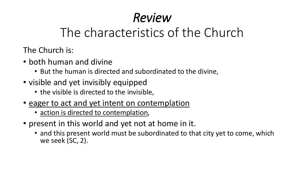# *Review*

### The characteristics of the Church

The Church is:

- both human and divine
	- But the human is directed and subordinated to the divine,
- visible and yet invisibly equipped
	- the visible is directed to the invisible,
- eager to act and yet intent on contemplation
	- action is directed to contemplation,
- present in this world and yet not at home in it.
	- and this present world must be subordinated to that city yet to come, which we seek (SC, 2).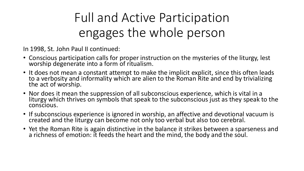# Full and Active Participation engages the whole person

In 1998, St. John Paul II continued:

- Conscious participation calls for proper instruction on the mysteries of the liturgy, lest worship degenerate into a form of ritualism.
- It does not mean a constant attempt to make the implicit explicit, since this often leads to a verbosity and informality which are alien to the Roman Rite and end by trivializing the act of worship.
- Nor does it mean the suppression of all subconscious experience, which is vital in a liturgy which thrives on symbols that speak to the subconscious just as they speak to the conscious.
- If subconscious experience is ignored in worship, an affective and devotional vacuum is created and the liturgy can become not only too verbal but also too cerebral.
- Yet the Roman Rite is again distinctive in the balance it strikes between a sparseness and a richness of emotion: it feeds the heart and the mind, the body and the soul.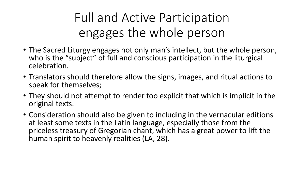# Full and Active Participation engages the whole person

- The Sacred Liturgy engages not only man's intellect, but the whole person, who is the "subject" of full and conscious participation in the liturgical celebration.
- Translators should therefore allow the signs, images, and ritual actions to speak for themselves;
- They should not attempt to render too explicit that which is implicit in the original texts.
- Consideration should also be given to including in the vernacular editions at least some texts in the Latin language, especially those from the priceless treasury of Gregorian chant, which has a great power to lift the human spirit to heavenly realities (LA, 28).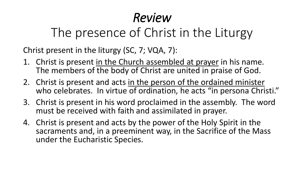# *Review*

# The presence of Christ in the Liturgy

Christ present in the liturgy (SC, 7; VQA, 7):

- 1. Christ is present in the Church assembled at prayer in his name. The members of the body of Christ are united in praise of God.
- 2. Christ is present and acts in the person of the ordained minister who celebrates. In virtue of ordination, he acts "in persona Christi."
- 3. Christ is present in his word proclaimed in the assembly. The word must be received with faith and assimilated in prayer.
- 4. Christ is present and acts by the power of the Holy Spirit in the sacraments and, in a preeminent way, in the Sacrifice of the Mass under the Eucharistic Species.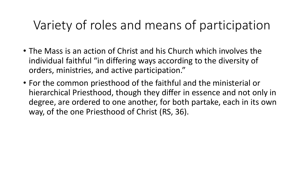- The Mass is an action of Christ and his Church which involves the individual faithful "in differing ways according to the diversity of orders, ministries, and active participation."
- For the common priesthood of the faithful and the ministerial or hierarchical Priesthood, though they differ in essence and not only in degree, are ordered to one another, for both partake, each in its own way, of the one Priesthood of Christ (RS, 36).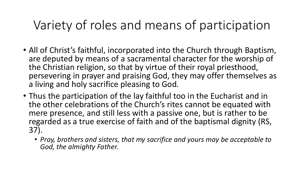- All of Christ's faithful, incorporated into the Church through Baptism, are deputed by means of a sacramental character for the worship of the Christian religion, so that by virtue of their royal priesthood, persevering in prayer and praising God, they may offer themselves as a living and holy sacrifice pleasing to God.
- Thus the participation of the lay faithful too in the Eucharist and in the other celebrations of the Church's rites cannot be equated with mere presence, and still less with a passive one, but is rather to be regarded as a true exercise of faith and of the baptismal dignity (RS, 37).
	- *Pray, brothers and sisters, that my sacrifice and yours may be acceptable to God, the almighty Father.*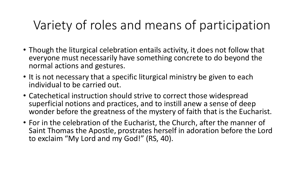- Though the liturgical celebration entails activity, it does not follow that everyone must necessarily have something concrete to do beyond the normal actions and gestures.
- It is not necessary that a specific liturgical ministry be given to each individual to be carried out.
- Catechetical instruction should strive to correct those widespread superficial notions and practices, and to instill anew a sense of deep wonder before the greatness of the mystery of faith that is the Eucharist.
- For in the celebration of the Eucharist, the Church, after the manner of Saint Thomas the Apostle, prostrates herself in adoration before the Lord to exclaim "My Lord and my God!" (RS, 40).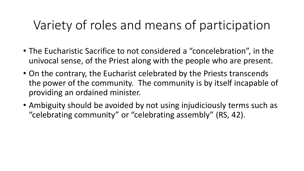- The Eucharistic Sacrifice to not considered a "concelebration", in the univocal sense, of the Priest along with the people who are present.
- On the contrary, the Eucharist celebrated by the Priests transcends the power of the community. The community is by itself incapable of providing an ordained minister.
- Ambiguity should be avoided by not using injudiciously terms such as "celebrating community" or "celebrating assembly" (RS, 42).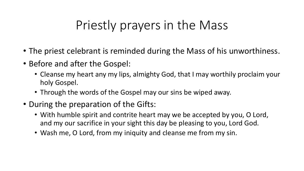## Priestly prayers in the Mass

- The priest celebrant is reminded during the Mass of his unworthiness.
- Before and after the Gospel:
	- Cleanse my heart any my lips, almighty God, that I may worthily proclaim your holy Gospel.
	- Through the words of the Gospel may our sins be wiped away.
- During the preparation of the Gifts:
	- With humble spirit and contrite heart may we be accepted by you, O Lord, and my our sacrifice in your sight this day be pleasing to you, Lord God.
	- Wash me, O Lord, from my iniquity and cleanse me from my sin.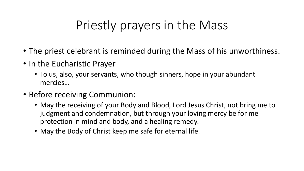## Priestly prayers in the Mass

- The priest celebrant is reminded during the Mass of his unworthiness.
- In the Eucharistic Prayer
	- To us, also, your servants, who though sinners, hope in your abundant mercies…
- Before receiving Communion:
	- May the receiving of your Body and Blood, Lord Jesus Christ, not bring me to judgment and condemnation, but through your loving mercy be for me protection in mind and body, and a healing remedy.
	- May the Body of Christ keep me safe for eternal life.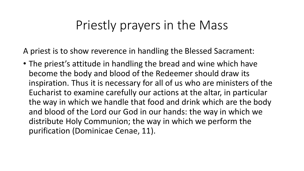### Priestly prayers in the Mass

A priest is to show reverence in handling the Blessed Sacrament:

• The priest's attitude in handling the bread and wine which have become the body and blood of the Redeemer should draw its inspiration. Thus it is necessary for all of us who are ministers of the Eucharist to examine carefully our actions at the altar, in particular the way in which we handle that food and drink which are the body and blood of the Lord our God in our hands: the way in which we distribute Holy Communion; the way in which we perform the purification (Dominicae Cenae, 11).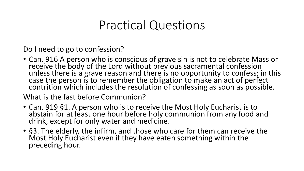#### Practical Questions

Do I need to go to confession?

• Can. 916 A person who is conscious of grave sin is not to celebrate Mass or receive the body of the Lord without previous sacramental confession unless there is a grave reason and there is no opportunity to confess; in this case the person is to remember the obligation to make an act of perfect contrition which includes the resolution of confessing as soon as possible.

What is the fast before Communion?

- Can. 919 §1. A person who is to receive the Most Holy Eucharist is to abstain for at least one hour before holy communion from any food and drink, except for only water and medicine.
- §3. The elderly, the infirm, and those who care for them can receive the Most Holy Eucharist even if they have eaten something within the preceding hour.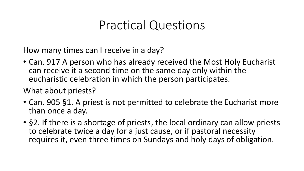### Practical Questions

How many times can I receive in a day?

• Can. 917 A person who has already received the Most Holy Eucharist can receive it a second time on the same day only within the eucharistic celebration in which the person participates.

What about priests?

- Can. 905 §1. A priest is not permitted to celebrate the Eucharist more than once a day.
- §2. If there is a shortage of priests, the local ordinary can allow priests to celebrate twice a day for a just cause, or if pastoral necessity requires it, even three times on Sundays and holy days of obligation.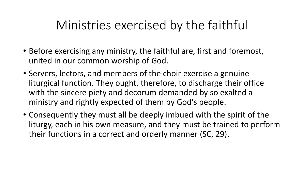### Ministries exercised by the faithful

- Before exercising any ministry, the faithful are, first and foremost, united in our common worship of God.
- Servers, lectors, and members of the choir exercise a genuine liturgical function. They ought, therefore, to discharge their office with the sincere piety and decorum demanded by so exalted a ministry and rightly expected of them by God's people.
- Consequently they must all be deeply imbued with the spirit of the liturgy, each in his own measure, and they must be trained to perform their functions in a correct and orderly manner (SC, 29).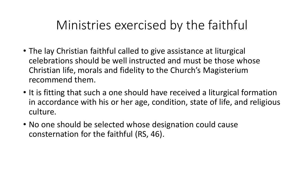### Ministries exercised by the faithful

- The lay Christian faithful called to give assistance at liturgical celebrations should be well instructed and must be those whose Christian life, morals and fidelity to the Church's Magisterium recommend them.
- It is fitting that such a one should have received a liturgical formation in accordance with his or her age, condition, state of life, and religious culture.
- No one should be selected whose designation could cause consternation for the faithful (RS, 46).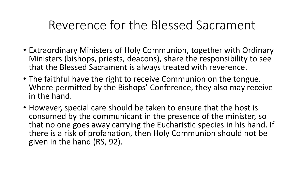- Extraordinary Ministers of Holy Communion, together with Ordinary Ministers (bishops, priests, deacons), share the responsibility to see that the Blessed Sacrament is always treated with reverence.
- The faithful have the right to receive Communion on the tongue. Where permitted by the Bishops' Conference, they also may receive in the hand.
- However, special care should be taken to ensure that the host is consumed by the communicant in the presence of the minister, so that no one goes away carrying the Eucharistic species in his hand. If there is a risk of profanation, then Holy Communion should not be given in the hand (RS, 92).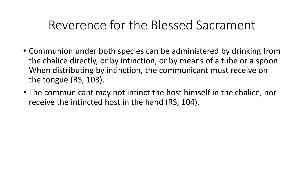- Communion under both species can be administered by drinking from the chalice directly, or by intinction, or by means of a tube or a spoon. When distributing by intinction, the communicant must receive on the tongue (RS, 103).
- The communicant may not intinct the host himself in the chalice, nor receive the intincted host in the hand (RS, 104).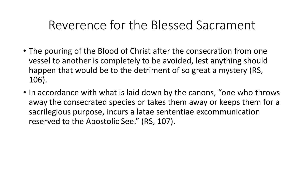- The pouring of the Blood of Christ after the consecration from one vessel to another is completely to be avoided, lest anything should happen that would be to the detriment of so great a mystery (RS, 106).
- In accordance with what is laid down by the canons, "one who throws away the consecrated species or takes them away or keeps them for a sacrilegious purpose, incurs a latae sententiae excommunication reserved to the Apostolic See." (RS, 107).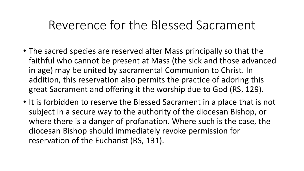- The sacred species are reserved after Mass principally so that the faithful who cannot be present at Mass (the sick and those advanced in age) may be united by sacramental Communion to Christ. In addition, this reservation also permits the practice of adoring this great Sacrament and offering it the worship due to God (RS, 129).
- It is forbidden to reserve the Blessed Sacrament in a place that is not subject in a secure way to the authority of the diocesan Bishop, or where there is a danger of profanation. Where such is the case, the diocesan Bishop should immediately revoke permission for reservation of the Eucharist (RS, 131).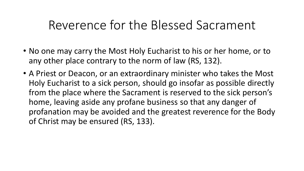- No one may carry the Most Holy Eucharist to his or her home, or to any other place contrary to the norm of law (RS, 132).
- A Priest or Deacon, or an extraordinary minister who takes the Most Holy Eucharist to a sick person, should go insofar as possible directly from the place where the Sacrament is reserved to the sick person's home, leaving aside any profane business so that any danger of profanation may be avoided and the greatest reverence for the Body of Christ may be ensured (RS, 133).